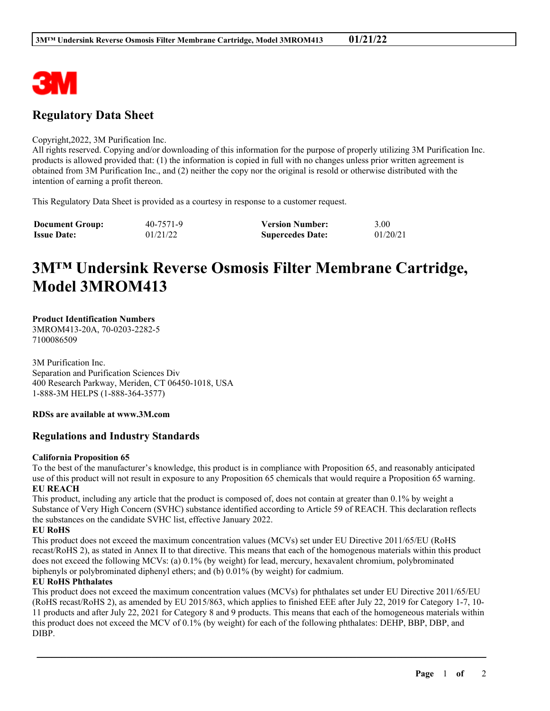

## **Regulatory Data Sheet**

## Copyright,2022, 3M Purification Inc.

All rights reserved. Copying and/or downloading of this information for the purpose of properly utilizing 3M Purification Inc. products is allowed provided that: (1) the information is copied in full with no changes unless prior written agreement is obtained from 3M Purification Inc., and (2) neither the copy nor the original is resold or otherwise distributed with the intention of earning a profit thereon.

This Regulatory Data Sheet is provided as a courtesy in response to a customer request.

| <b>Document Group:</b> | 40-7571-9 | <b>Version Number:</b>  | 3.00     |
|------------------------|-----------|-------------------------|----------|
| <b>Issue Date:</b>     | 01/21/22  | <b>Supercedes Date:</b> | 01/20/21 |

# **3M™ Undersink Reverse Osmosis Filter Membrane Cartridge, Model 3MROM413**

## **Product Identification Numbers**

3MROM413-20A, 70-0203-2282-5 7100086509

3M Purification Inc. Separation and Purification Sciences Div 400 Research Parkway, Meriden, CT 06450-1018, USA 1-888-3M HELPS (1-888-364-3577)

### **RDSs are available at www.3M.com**

## **Regulations and Industry Standards**

### **California Proposition 65**

To the best of the manufacturer's knowledge, this product is in compliance with Proposition 65, and reasonably anticipated use of this product will not result in exposure to any Proposition 65 chemicals that would require a Proposition 65 warning. **EU REACH**

This product, including any article that the product is composed of, does not contain at greater than 0.1% by weight a Substance of Very High Concern (SVHC) substance identified according to Article 59 of REACH. This declaration reflects the substances on the candidate SVHC list, effective January 2022.

## **EU RoHS**

This product does not exceed the maximum concentration values (MCVs) set under EU Directive 2011/65/EU (RoHS recast/RoHS 2), as stated in Annex II to that directive. This means that each of the homogenous materials within this product does not exceed the following MCVs: (a) 0.1% (by weight) for lead, mercury, hexavalent chromium, polybrominated biphenyls or polybrominated diphenyl ethers; and (b) 0.01% (by weight) for cadmium.

## **EU RoHS Phthalates**

This product does not exceed the maximum concentration values (MCVs) for phthalates set under EU Directive 2011/65/EU (RoHS recast/RoHS 2), as amended by EU 2015/863, which applies to finished EEE after July 22, 2019 for Category 1-7, 10- 11 products and after July 22, 2021 for Category 8 and 9 products. This means that each of the homogeneous materials within this product does not exceed the MCV of 0.1% (by weight) for each of the following phthalates: DEHP, BBP, DBP, and DIBP.

\_\_\_\_\_\_\_\_\_\_\_\_\_\_\_\_\_\_\_\_\_\_\_\_\_\_\_\_\_\_\_\_\_\_\_\_\_\_\_\_\_\_\_\_\_\_\_\_\_\_\_\_\_\_\_\_\_\_\_\_\_\_\_\_\_\_\_\_\_\_\_\_\_\_\_\_\_\_\_\_\_\_\_\_\_\_\_\_\_\_